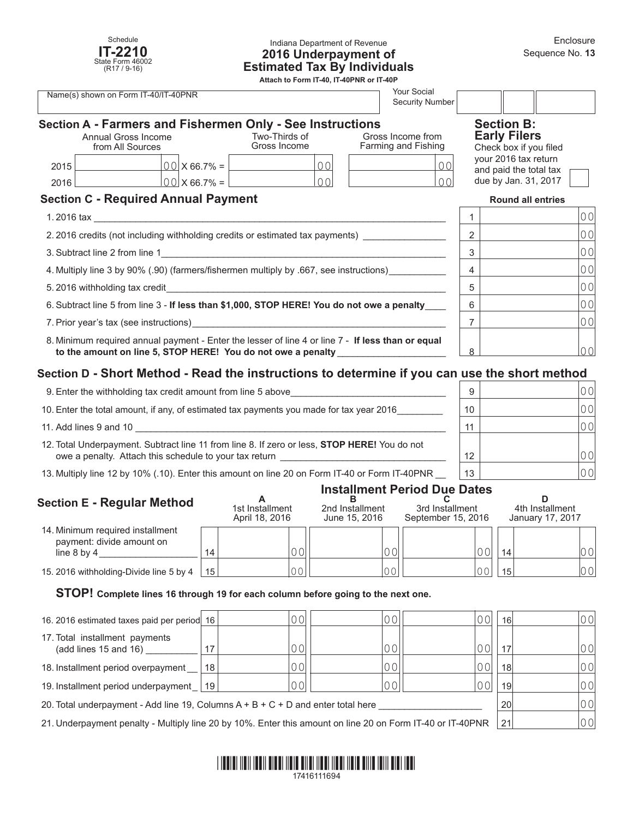

## Indiana Department of Revenue **2016 Underpayment of Estimated Tax By Individuals**

**Attach to Form IT-40, IT-40PNR or IT-40P**

| Your Social<br>Name(s) shown on Form IT-40/IT-40PNR<br>Security Number                                                                                                                                                         |  |                               |                                                           |                                          |                                               |                          |                                                |  |
|--------------------------------------------------------------------------------------------------------------------------------------------------------------------------------------------------------------------------------|--|-------------------------------|-----------------------------------------------------------|------------------------------------------|-----------------------------------------------|--------------------------|------------------------------------------------|--|
|                                                                                                                                                                                                                                |  |                               | Section A - Farmers and Fishermen Only - See Instructions |                                          |                                               |                          | <b>Section B:</b>                              |  |
| Annual Gross Income<br>from All Sources                                                                                                                                                                                        |  | Two-Thirds of<br>Gross Income |                                                           | Gross Income from<br>Farming and Fishing | <b>Early Filers</b><br>Check box if you filed |                          |                                                |  |
| 2015                                                                                                                                                                                                                           |  |                               | $00 \times 66.7\% =$<br>00                                |                                          | 0 <sup>0</sup>                                |                          | your 2016 tax return<br>and paid the total tax |  |
| 2016                                                                                                                                                                                                                           |  | $[00]$ X 66.7% = $[$          | $\Omega$                                                  |                                          | $\Omega$                                      |                          | due by Jan. 31, 2017                           |  |
| <b>Section C - Required Annual Payment</b>                                                                                                                                                                                     |  |                               |                                                           |                                          |                                               | <b>Round all entries</b> |                                                |  |
| 1. 2016 tax<br><u> 1980 - John Stein, Amerikaansk politiker (</u>                                                                                                                                                              |  |                               |                                                           |                                          |                                               | 00                       |                                                |  |
| 2.2016 credits (not including withholding credits or estimated tax payments)                                                                                                                                                   |  |                               |                                                           |                                          |                                               | 2                        | 0 <sub>0</sub>                                 |  |
| 3. Subtract line 2 from line 1<br><u> 1989 - Johann Barn, margaret eta idazlear (h. 1982).</u>                                                                                                                                 |  |                               |                                                           |                                          |                                               | 3                        | 0 <sub>0</sub>                                 |  |
| 4. Multiply line 3 by 90% (.90) (farmers/fishermen multiply by .667, see instructions)                                                                                                                                         |  |                               |                                                           |                                          | 4                                             | 0 <sub>0</sub>           |                                                |  |
|                                                                                                                                                                                                                                |  |                               |                                                           |                                          | 5                                             | 0 <sub>0</sub>           |                                                |  |
| 6. Subtract line 5 from line 3 - If less than \$1,000, STOP HERE! You do not owe a penalty                                                                                                                                     |  |                               |                                                           |                                          | 6                                             | 0 <sub>0</sub>           |                                                |  |
| 7. Prior year's tax (see instructions) example and the contract of the contract of the contract of the contract of the contract of the contract of the contract of the contract of the contract of the contract of the contrac |  |                               |                                                           |                                          | 7                                             | 0 <sub>0</sub>           |                                                |  |
| 8. Minimum required annual payment - Enter the lesser of line 4 or line 7 - If less than or equal<br>to the amount on line 5, STOP HERE! You do not owe a penalty                                                              |  |                               |                                                           | 8                                        | 0 <sub>0</sub>                                |                          |                                                |  |

# **Section D - Short Method - Read the instructions to determine if you can use the short method**

| 9. Enter the withholding tax credit amount from line 5 above                                                                                           | 9  | 00              |
|--------------------------------------------------------------------------------------------------------------------------------------------------------|----|-----------------|
| 10. Enter the total amount, if any, of estimated tax payments you made for tax year 2016                                                               | 10 | 0 <sup>0</sup>  |
| 11. Add lines 9 and 10                                                                                                                                 | 11 |                 |
| 12. Total Underpayment. Subtract line 11 from line 8. If zero or less, STOP HERE! You do not<br>owe a penalty. Attach this schedule to your tax return | 12 | 0 OI            |
| 13. Multiply line 12 by 10% (.10). Enter this amount on line 20 on Form IT-40 or Form IT-40PNR                                                         | 13 | 00 <sup>1</sup> |

# **Installment Period Due Dates**

| <b>Section E - Regular Method</b><br>14. Minimum required installment<br>payment: divide amount on<br>line $8$ by $4$ |                 | 1st Installment<br>April 18, 2016 | 2nd Installment<br>June 15, 2016 | 3rd Installment<br>September 15, 2016 |    | 4th Installment<br>January 17, 2017 |  |
|-----------------------------------------------------------------------------------------------------------------------|-----------------|-----------------------------------|----------------------------------|---------------------------------------|----|-------------------------------------|--|
|                                                                                                                       |                 |                                   |                                  | $\bigcap \bigcap$                     | 14 | 001                                 |  |
| 15. 2016 withholding-Divide line 5 by 4                                                                               | 15 <sup>1</sup> |                                   |                                  | $\cap$ $\cap$                         | 15 | 00                                  |  |

## **STOP! Complete lines 16 through 19 for each column before going to the next one.**

| 16. 2016 estimated taxes paid per period 16                                                                |    |    |  | 0 O I | 16 <sup>1</sup> | 00   |
|------------------------------------------------------------------------------------------------------------|----|----|--|-------|-----------------|------|
| 17. Total installment payments<br>(add lines 15 and 16)                                                    |    |    |  | 00    | 17              | 00   |
| 18. Installment period overpayment                                                                         | 18 |    |  | 00    | 18 <sup>1</sup> | 00   |
| 19. Installment period underpayment   19                                                                   |    | 00 |  | 00    | 19 <sup>1</sup> | 00   |
| 20. Total underpayment - Add line 19, Columns $A + B + C + D$ and enter total here                         |    |    |  |       | 20              | 00 I |
| 21. Underpayment penalty - Multiply line 20 by 10%. Enter this amount on line 20 on Form IT-40 or IT-40PNR |    |    |  | 21    | 00              |      |

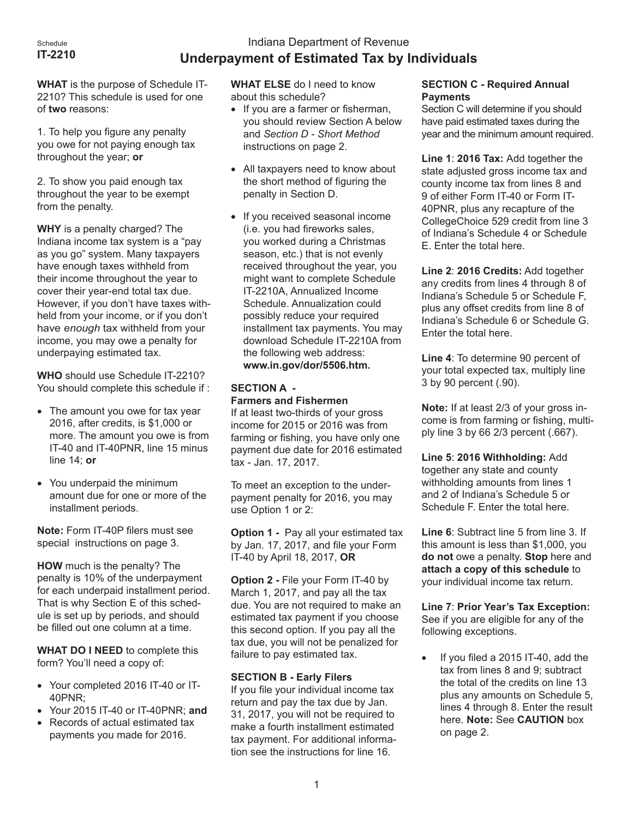# Indiana Department of Revenue **Underpayment of Estimated Tax by Individuals**

**WHAT** is the purpose of Schedule IT-2210? This schedule is used for one of **two** reasons:

1. To help you figure any penalty you owe for not paying enough tax throughout the year; **or**

2. To show you paid enough tax throughout the year to be exempt from the penalty.

**WHY** is a penalty charged? The Indiana income tax system is a "pay as you go" system. Many taxpayers have enough taxes withheld from their income throughout the year to cover their year-end total tax due. However, if you don't have taxes withheld from your income, or if you don't have *enough* tax withheld from your income, you may owe a penalty for underpaying estimated tax.

**WHO** should use Schedule IT-2210? You should complete this schedule if :

- The amount you owe for tax year 2016, after credits, is \$1,000 or more. The amount you owe is from IT-40 and IT-40PNR, line 15 minus line 14; **or**
- • You underpaid the minimum amount due for one or more of the installment periods.

**Note:** Form IT-40P filers must see special instructions on page 3.

**HOW** much is the penalty? The penalty is 10% of the underpayment for each underpaid installment period. That is why Section E of this schedule is set up by periods, and should be filled out one column at a time.

**WHAT DO I NEED** to complete this form? You'll need a copy of:

- • Your completed 2016 IT-40 or IT-40PNR;
- • Your 2015 IT-40 or IT-40PNR; **and**
- Records of actual estimated tax payments you made for 2016.

**WHAT ELSE** do I need to know about this schedule?

- If you are a farmer or fisherman, you should review Section A below and *Section D - Short Method* instructions on page 2.
- All taxpayers need to know about the short method of figuring the penalty in Section D.
- • If you received seasonal income (i.e. you had fireworks sales, you worked during a Christmas season, etc.) that is not evenly received throughout the year, you might want to complete Schedule IT-2210A, Annualized Income Schedule. Annualization could possibly reduce your required installment tax payments. You may download Schedule IT-2210A from the following web address: **[www.in.gov/dor/5506.htm.](http://www.in.gov/dor/5333.htm)**

# **SECTION A -**

# **Farmers and Fishermen**

If at least two-thirds of your gross income for 2015 or 2016 was from farming or fishing, you have only one payment due date for 2016 estimated tax - Jan. 17, 2017.

To meet an exception to the underpayment penalty for 2016, you may use Option 1 or 2:

**Option 1 -** Pay all your estimated tax by Jan. 17, 2017, and file your Form IT-40 by April 18, 2017, **OR**

**Option 2 -** File your Form IT-40 by March 1, 2017, and pay all the tax due. You are not required to make an estimated tax payment if you choose this second option. If you pay all the tax due, you will not be penalized for failure to pay estimated tax.

# **SECTION B - Early Filers**

If you file your individual income tax return and pay the tax due by Jan. 31, 2017, you will not be required to make a fourth installment estimated tax payment. For additional information see the instructions for line 16.

# **SECTION C - Required Annual Payments**

Section C will determine if you should have paid estimated taxes during the year and the minimum amount required.

**Line 1**: **2016 Tax:** Add together the state adjusted gross income tax and county income tax from lines 8 and 9 of either Form IT-40 or Form IT-40PNR, plus any recapture of the CollegeChoice 529 credit from line 3 of Indiana's Schedule 4 or Schedule E. Enter the total here.

**Line 2**: **2016 Credits:** Add together any credits from lines 4 through 8 of Indiana's Schedule 5 or Schedule F, plus any offset credits from line 8 of Indiana's Schedule 6 or Schedule G. Enter the total here.

**Line 4**: To determine 90 percent of your total expected tax, multiply line 3 by 90 percent (.90).

**Note:** If at least 2/3 of your gross income is from farming or fishing, multiply line 3 by 66 2/3 percent (.667).

**Line 5**: **2016 Withholding:** Add together any state and county withholding amounts from lines 1 and 2 of Indiana's Schedule 5 or Schedule F. Enter the total here.

**Line 6**: Subtract line 5 from line 3. If this amount is less than \$1,000, you **do not** owe a penalty. **Stop** here and **attach a copy of this schedule** to your individual income tax return.

**Line 7**: **Prior Year's Tax Exception:**  See if you are eligible for any of the following exceptions.

If you filed a 2015 IT-40, add the tax from lines 8 and 9; subtract the total of the credits on line 13 plus any amounts on Schedule 5, lines 4 through 8. Enter the result here. **Note:** See **CAUTION** box on page 2.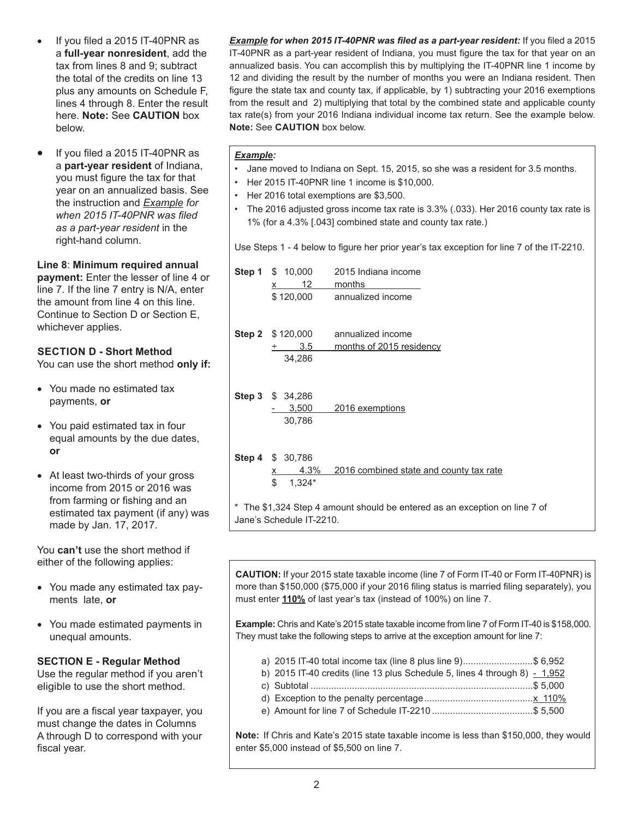- If you filed a  $2015$  IT-40PNR as a **full-year nonresident**, add the tax from lines 8 and 9; subtract the total of the credits on line 13 plus any amounts on Schedule F, lines 4 through 8. Enter the result here. **Note:** See **CAUTION** box below.
- If you filed a 2015 IT-40PNR as a **part-year resident** of Indiana, you must figure the tax for that year on an annualized basis. See the instruction and *Example for when 2015 IT-40PNR was filed as a part-year resident* in the right-hand column.

**Line 8**: **Minimum required annual payment:** Enter the lesser of line 4 or line 7. If the line 7 entry is N/A, enter the amount from line 4 on this line. Continue to Section D or Section E,

# **SECTION D - Short Method**

whichever applies.

You can use the short method **only if:**

- You made no estimated tax payments, **or**
- • You paid estimated tax in four equal amounts by the due dates, **or**
- At least two-thirds of your gross income from 2015 or 2016 was from farming or fishing and an estimated tax payment (if any) was made by Jan. 17, 2017.

You **can't** use the short method if either of the following applies:

- You made any estimated tax payments late, **or**
- • You made estimated payments in unequal amounts.

#### **SECTION E - Regular Method**

Use the regular method if you aren't eligible to use the short method.

If you are a fiscal year taxpayer, you must change the dates in Columns A through D to correspond with your fiscal year.

*Example for when 2015 IT-40PNR was filed as a part-year resident:* If you filed a 2015 IT-40PNR as a part-year resident of Indiana, you must figure the tax for that year on an annualized basis. You can accomplish this by multiplying the IT-40PNR line 1 income by 12 and dividing the result by the number of months you were an Indiana resident. Then figure the state tax and county tax, if applicable, by 1) subtracting your 2016 exemptions from the result and 2) multiplying that total by the combined state and applicable county tax rate(s) from your 2016 Indiana individual income tax return. See the example below. **Note:** See **CAUTION** box below.

#### *Example:*

- Jane moved to Indiana on Sept. 15, 2015, so she was a resident for 3.5 months.
- Her 2015 IT-40PNR line 1 income is \$10,000.
- Her 2016 total exemptions are \$3,500.
- The 2016 adjusted gross income tax rate is 3.3% (.033). Her 2016 county tax rate is 1% (for a 4.3% [.043] combined state and county tax rate.)

Use Steps 1 - 4 below to figure her prior year's tax exception for line 7 of the IT-2210.

|                                                                                                       | <b>Step 1</b> \$ 10,000             | 2015 Indiana income                     |  |  |  |  |
|-------------------------------------------------------------------------------------------------------|-------------------------------------|-----------------------------------------|--|--|--|--|
|                                                                                                       | 12<br>x                             | months                                  |  |  |  |  |
|                                                                                                       | \$120,000                           | annualized income                       |  |  |  |  |
|                                                                                                       |                                     |                                         |  |  |  |  |
|                                                                                                       | <b>Step 2</b> $$120,000$            | annualized income                       |  |  |  |  |
|                                                                                                       | 3.5                                 | months of 2015 residency                |  |  |  |  |
|                                                                                                       | 34,286                              |                                         |  |  |  |  |
|                                                                                                       | Step 3 \$ 34,286<br>3,500<br>30,786 | 2016 exemptions                         |  |  |  |  |
|                                                                                                       | <b>Step 4 \$ 30,786</b>             |                                         |  |  |  |  |
|                                                                                                       | 4.3%                                | 2016 combined state and county tax rate |  |  |  |  |
|                                                                                                       | \$<br>$1,324*$                      |                                         |  |  |  |  |
| * The \$1,324 Step 4 amount should be entered as an exception on line 7 of<br>Jane's Schedule IT-2210 |                                     |                                         |  |  |  |  |

**CAUTION:** If your 2015 state taxable income (line 7 of Form IT-40 or Form IT-40PNR) is more than \$150,000 (\$75,000 if your 2016 filing status is married filing separately), you must enter **110%** of last year's tax (instead of 100%) on line 7.

**Example:** Chris and Kate's 2015 state taxable income from line 7 of Form IT-40 is \$158,000. They must take the following steps to arrive at the exception amount for line 7:

- a) 2015 IT-40 total income tax (line 8 plus line 9)...........................\$ 6,952
- b) 2015 IT-40 credits (line 13 plus Schedule 5, lines 4 through 8)  $-1,952$
- c) Subtotal ......................................................................................\$ 5,000
- d) Exception to the penalty percentage..........................................x 110%
- e) Amount for line 7 of Schedule IT-2210 .......................................\$ 5,500

**Note:** If Chris and Kate's 2015 state taxable income is less than \$150,000, they would enter \$5,000 instead of \$5,500 on line 7.